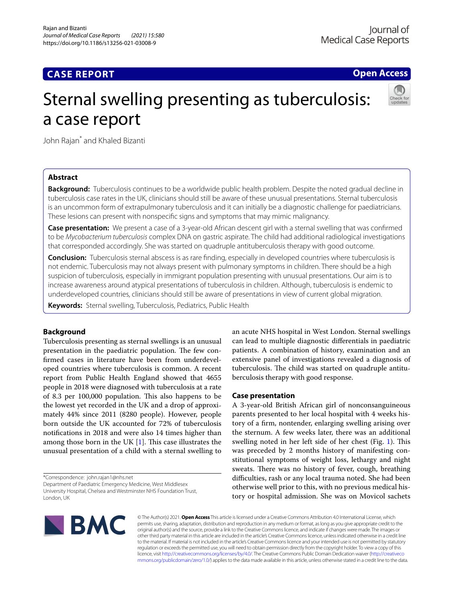## **CASE REPORT**

**Open Access**

# Sternal swelling presenting as tuberculosis: a case report



John Rajan\* and Khaled Bizanti

## **Abstract**

**Background:** Tuberculosis continues to be a worldwide public health problem. Despite the noted gradual decline in tuberculosis case rates in the UK, clinicians should still be aware of these unusual presentations. Sternal tuberculosis is an uncommon form of extrapulmonary tuberculosis and it can initially be a diagnostic challenge for paediatricians. These lesions can present with nonspecifc signs and symptoms that may mimic malignancy.

**Case presentation:** We present a case of a 3-year-old African descent girl with a sternal swelling that was confrmed to be *Mycobacterium tuberculosis* complex DNA on gastric aspirate. The child had additional radiological investigations that corresponded accordingly. She was started on quadruple antituberculosis therapy with good outcome.

**Conclusion:** Tuberculosis sternal abscess is as rare fnding, especially in developed countries where tuberculosis is not endemic. Tuberculosis may not always present with pulmonary symptoms in children. There should be a high suspicion of tuberculosis, especially in immigrant population presenting with unusual presentations. Our aim is to increase awareness around atypical presentations of tuberculosis in children. Although, tuberculosis is endemic to underdeveloped countries, clinicians should still be aware of presentations in view of current global migration.

**Keywords:** Sternal swelling, Tuberculosis, Pediatrics, Public Health

## **Background**

Tuberculosis presenting as sternal swellings is an unusual presentation in the paediatric population. The few confrmed cases in literature have been from underdeveloped countries where tuberculosis is common. A recent report from Public Health England showed that 4655 people in 2018 were diagnosed with tuberculosis at a rate of 8.3 per 100,000 population. This also happens to be the lowest yet recorded in the UK and a drop of approximately 44% since 2011 (8280 people). However, people born outside the UK accounted for 72% of tuberculosis notifcations in 2018 and were also 14 times higher than among those born in the UK  $[1]$  $[1]$ . This case illustrates the unusual presentation of a child with a sternal swelling to

\*Correspondence: john.rajan1@nhs.net

Department of Paediatric Emergency Medicine, West Middlesex University Hospital, Chelsea and Westminster NHS Foundation Trust, London, UK

an acute NHS hospital in West London. Sternal swellings can lead to multiple diagnostic diferentials in paediatric patients. A combination of history, examination and an extensive panel of investigations revealed a diagnosis of tuberculosis. The child was started on quadruple antituberculosis therapy with good response.

## **Case presentation**

A 3-year-old British African girl of nonconsanguineous parents presented to her local hospital with 4 weeks history of a frm, nontender, enlarging swelling arising over the sternum. A few weeks later, there was an additional swelling noted in her left side of her chest (Fig. [1](#page-1-0)). This was preceded by 2 months history of manifesting constitutional symptoms of weight loss, lethargy and night sweats. There was no history of fever, cough, breathing difficulties, rash or any local trauma noted. She had been otherwise well prior to this, with no previous medical history or hospital admission. She was on Movicol sachets



© The Author(s) 2021. **Open Access** This article is licensed under a Creative Commons Attribution 4.0 International License, which permits use, sharing, adaptation, distribution and reproduction in any medium or format, as long as you give appropriate credit to the original author(s) and the source, provide a link to the Creative Commons licence, and indicate if changes were made. The images or other third party material in this article are included in the article's Creative Commons licence, unless indicated otherwise in a credit line to the material. If material is not included in the article's Creative Commons licence and your intended use is not permitted by statutory regulation or exceeds the permitted use, you will need to obtain permission directly from the copyright holder. To view a copy of this licence, visit [http://creativecommons.org/licenses/by/4.0/.](http://creativecommons.org/licenses/by/4.0/) The Creative Commons Public Domain Dedication waiver ([http://creativeco](http://creativecommons.org/publicdomain/zero/1.0/) [mmons.org/publicdomain/zero/1.0/](http://creativecommons.org/publicdomain/zero/1.0/)) applies to the data made available in this article, unless otherwise stated in a credit line to the data.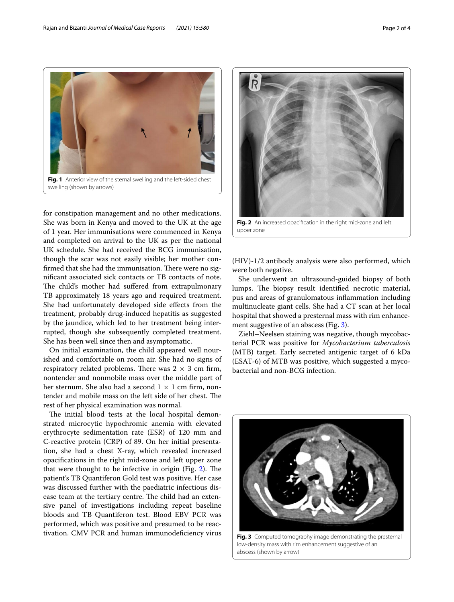

<span id="page-1-0"></span>for constipation management and no other medications. She was born in Kenya and moved to the UK at the age of 1 year. Her immunisations were commenced in Kenya and completed on arrival to the UK as per the national UK schedule. She had received the BCG immunisation, though the scar was not easily visible; her mother confirmed that she had the immunisation. There were no signifcant associated sick contacts or TB contacts of note. The child's mother had suffered from extrapulmonary TB approximately 18 years ago and required treatment. She had unfortunately developed side efects from the treatment, probably drug-induced hepatitis as suggested by the jaundice, which led to her treatment being interrupted, though she subsequently completed treatment. She has been well since then and asymptomatic.

On initial examination, the child appeared well nourished and comfortable on room air. She had no signs of respiratory related problems. There was  $2 \times 3$  cm firm, nontender and nonmobile mass over the middle part of her sternum. She also had a second  $1 \times 1$  cm firm, nontender and mobile mass on the left side of her chest. The rest of her physical examination was normal.

The initial blood tests at the local hospital demonstrated microcytic hypochromic anemia with elevated erythrocyte sedimentation rate (ESR) of 120 mm and C-reactive protein (CRP) of 89. On her initial presentation, she had a chest X-ray, which revealed increased opacifcations in the right mid-zone and left upper zone that were thought to be infective in origin (Fig.  $2$ ). The patient's TB Quantiferon Gold test was positive. Her case was discussed further with the paediatric infectious disease team at the tertiary centre. The child had an extensive panel of investigations including repeat baseline bloods and TB Quantiferon test. Blood EBV PCR was performed, which was positive and presumed to be reactivation. CMV PCR and human immunodefciency virus



<span id="page-1-1"></span>**Fig. 2** An increased opacifcation in the right mid-zone and left upper zone

(HIV)-1/2 antibody analysis were also performed, which were both negative.

She underwent an ultrasound-guided biopsy of both lumps. The biopsy result identified necrotic material, pus and areas of granulomatous infammation including multinucleate giant cells. She had a CT scan at her local hospital that showed a presternal mass with rim enhance-ment suggestive of an abscess (Fig. [3](#page-1-2)).

Ziehl–Neelsen staining was negative, though mycobacterial PCR was positive for *Mycobacterium tuberculosis* (MTB) target. Early secreted antigenic target of 6 kDa (ESAT-6) of MTB was positive, which suggested a mycobacterial and non-BCG infection.

<span id="page-1-2"></span>

low-density mass with rim enhancement suggestive of an abscess (shown by arrow)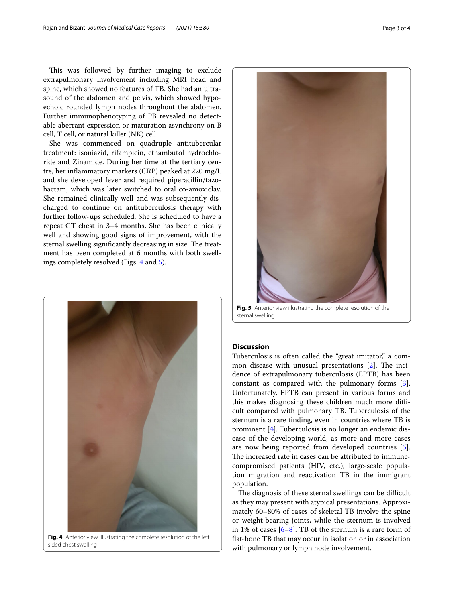This was followed by further imaging to exclude extrapulmonary involvement including MRI head and spine, which showed no features of TB. She had an ultrasound of the abdomen and pelvis, which showed hypoechoic rounded lymph nodes throughout the abdomen. Further immunophenotyping of PB revealed no detectable aberrant expression or maturation asynchrony on B cell, T cell, or natural killer (NK) cell.

She was commenced on quadruple antitubercular treatment: isoniazid, rifampicin, ethambutol hydrochloride and Zinamide. During her time at the tertiary centre, her infammatory markers (CRP) peaked at 220 mg/L and she developed fever and required piperacillin/tazobactam, which was later switched to oral co-amoxiclav. She remained clinically well and was subsequently discharged to continue on antituberculosis therapy with further follow-ups scheduled. She is scheduled to have a repeat CT chest in 3–4 months. She has been clinically well and showing good signs of improvement, with the sternal swelling significantly decreasing in size. The treatment has been completed at 6 months with both swellings completely resolved (Figs. [4](#page-2-0) and [5\)](#page-2-1).



**Fig. 4** Anterior view illustrating the complete resolution of the left sided chest swelling



**Fig. 5** Anterior view illustrating the complete resolution of the sternal swelling

## <span id="page-2-1"></span>**Discussion**

Tuberculosis is often called the "great imitator," a common disease with unusual presentations  $[2]$  $[2]$ . The incidence of extrapulmonary tuberculosis (EPTB) has been constant as compared with the pulmonary forms [\[3](#page-3-2)]. Unfortunately, EPTB can present in various forms and this makes diagnosing these children much more difficult compared with pulmonary TB. Tuberculosis of the sternum is a rare fnding, even in countries where TB is prominent [\[4\]](#page-3-3). Tuberculosis is no longer an endemic disease of the developing world, as more and more cases are now being reported from developed countries [\[5](#page-3-4)]. The increased rate in cases can be attributed to immunecompromised patients (HIV, etc.), large-scale population migration and reactivation TB in the immigrant population.

<span id="page-2-0"></span>The diagnosis of these sternal swellings can be difficult as they may present with atypical presentations. Approximately 60–80% of cases of skeletal TB involve the spine or weight-bearing joints, while the sternum is involved in 1% of cases [[6](#page-3-5)[–8](#page-3-6)]. TB of the sternum is a rare form of fat-bone TB that may occur in isolation or in association with pulmonary or lymph node involvement.